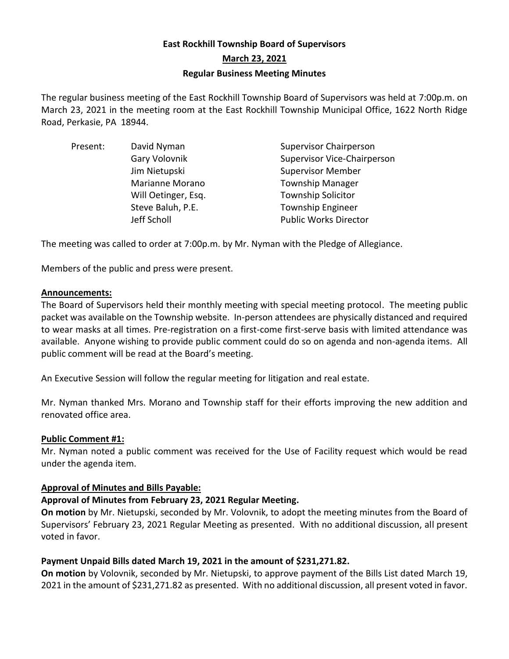# **East Rockhill Township Board of Supervisors March 23, 2021 Regular Business Meeting Minutes**

The regular business meeting of the East Rockhill Township Board of Supervisors was held at 7:00p.m. on March 23, 2021 in the meeting room at the East Rockhill Township Municipal Office, 1622 North Ridge Road, Perkasie, PA 18944.

| Present: | David Nyman         | <b>Supervisor Chairperson</b>      |
|----------|---------------------|------------------------------------|
|          | Gary Volovnik       | <b>Supervisor Vice-Chairperson</b> |
|          | Jim Nietupski       | <b>Supervisor Member</b>           |
|          | Marianne Morano     | <b>Township Manager</b>            |
|          | Will Oetinger, Esq. | <b>Township Solicitor</b>          |
|          | Steve Baluh, P.E.   | <b>Township Engineer</b>           |
|          | Jeff Scholl         | <b>Public Works Director</b>       |

The meeting was called to order at 7:00p.m. by Mr. Nyman with the Pledge of Allegiance.

Members of the public and press were present.

# **Announcements:**

The Board of Supervisors held their monthly meeting with special meeting protocol. The meeting public packet was available on the Township website. In-person attendees are physically distanced and required to wear masks at all times. Pre-registration on a first-come first-serve basis with limited attendance was available. Anyone wishing to provide public comment could do so on agenda and non-agenda items. All public comment will be read at the Board's meeting.

An Executive Session will follow the regular meeting for litigation and real estate.

Mr. Nyman thanked Mrs. Morano and Township staff for their efforts improving the new addition and renovated office area.

# **Public Comment #1:**

Mr. Nyman noted a public comment was received for the Use of Facility request which would be read under the agenda item.

# **Approval of Minutes and Bills Payable:**

# **Approval of Minutes from February 23, 2021 Regular Meeting.**

**On motion** by Mr. Nietupski, seconded by Mr. Volovnik, to adopt the meeting minutes from the Board of Supervisors' February 23, 2021 Regular Meeting as presented. With no additional discussion, all present voted in favor.

# **Payment Unpaid Bills dated March 19, 2021 in the amount of \$231,271.82.**

**On motion** by Volovnik, seconded by Mr. Nietupski, to approve payment of the Bills List dated March 19, 2021 in the amount of \$231,271.82 as presented. With no additional discussion, all present voted in favor.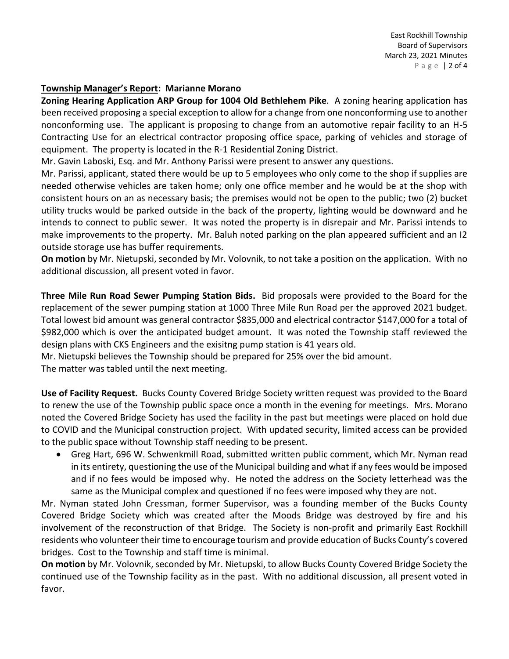### **Township Manager's Report: Marianne Morano**

**Zoning Hearing Application ARP Group for 1004 Old Bethlehem Pike**. A zoning hearing application has been received proposing a special exception to allow for a change from one nonconforming use to another nonconforming use. The applicant is proposing to change from an automotive repair facility to an H-5 Contracting Use for an electrical contractor proposing office space, parking of vehicles and storage of equipment. The property is located in the R-1 Residential Zoning District.

Mr. Gavin Laboski, Esq. and Mr. Anthony Parissi were present to answer any questions.

Mr. Parissi, applicant, stated there would be up to 5 employees who only come to the shop if supplies are needed otherwise vehicles are taken home; only one office member and he would be at the shop with consistent hours on an as necessary basis; the premises would not be open to the public; two (2) bucket utility trucks would be parked outside in the back of the property, lighting would be downward and he intends to connect to public sewer. It was noted the property is in disrepair and Mr. Parissi intends to make improvements to the property. Mr. Baluh noted parking on the plan appeared sufficient and an I2 outside storage use has buffer requirements.

**On motion** by Mr. Nietupski, seconded by Mr. Volovnik, to not take a position on the application. With no additional discussion, all present voted in favor.

**Three Mile Run Road Sewer Pumping Station Bids.** Bid proposals were provided to the Board for the replacement of the sewer pumping station at 1000 Three Mile Run Road per the approved 2021 budget. Total lowest bid amount was general contractor \$835,000 and electrical contractor \$147,000 for a total of \$982,000 which is over the anticipated budget amount. It was noted the Township staff reviewed the design plans with CKS Engineers and the exisitng pump station is 41 years old.

Mr. Nietupski believes the Township should be prepared for 25% over the bid amount.

The matter was tabled until the next meeting.

**Use of Facility Request.** Bucks County Covered Bridge Society written request was provided to the Board to renew the use of the Township public space once a month in the evening for meetings. Mrs. Morano noted the Covered Bridge Society has used the facility in the past but meetings were placed on hold due to COVID and the Municipal construction project. With updated security, limited access can be provided to the public space without Township staff needing to be present.

• Greg Hart, 696 W. Schwenkmill Road, submitted written public comment, which Mr. Nyman read in its entirety, questioning the use of the Municipal building and what if any fees would be imposed and if no fees would be imposed why. He noted the address on the Society letterhead was the same as the Municipal complex and questioned if no fees were imposed why they are not.

Mr. Nyman stated John Cressman, former Supervisor, was a founding member of the Bucks County Covered Bridge Society which was created after the Moods Bridge was destroyed by fire and his involvement of the reconstruction of that Bridge. The Society is non-profit and primarily East Rockhill residents who volunteer their time to encourage tourism and provide education of Bucks County's covered bridges. Cost to the Township and staff time is minimal.

**On motion** by Mr. Volovnik, seconded by Mr. Nietupski, to allow Bucks County Covered Bridge Society the continued use of the Township facility as in the past. With no additional discussion, all present voted in favor.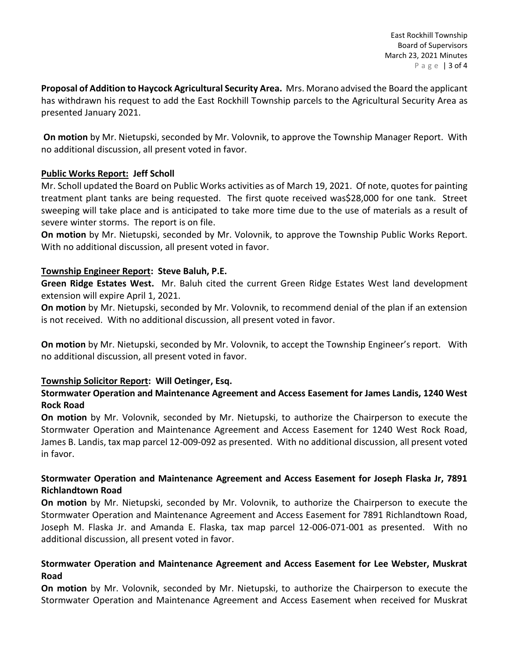**Proposal of Addition to Haycock Agricultural Security Area.** Mrs. Morano advised the Board the applicant has withdrawn his request to add the East Rockhill Township parcels to the Agricultural Security Area as presented January 2021.

**On motion** by Mr. Nietupski, seconded by Mr. Volovnik, to approve the Township Manager Report. With no additional discussion, all present voted in favor.

# **Public Works Report: Jeff Scholl**

Mr. Scholl updated the Board on Public Works activities as of March 19, 2021. Of note, quotes for painting treatment plant tanks are being requested. The first quote received was\$28,000 for one tank. Street sweeping will take place and is anticipated to take more time due to the use of materials as a result of severe winter storms. The report is on file.

**On motion** by Mr. Nietupski, seconded by Mr. Volovnik, to approve the Township Public Works Report. With no additional discussion, all present voted in favor.

# **Township Engineer Report: Steve Baluh, P.E.**

**Green Ridge Estates West.** Mr. Baluh cited the current Green Ridge Estates West land development extension will expire April 1, 2021.

**On motion** by Mr. Nietupski, seconded by Mr. Volovnik, to recommend denial of the plan if an extension is not received. With no additional discussion, all present voted in favor.

**On motion** by Mr. Nietupski, seconded by Mr. Volovnik, to accept the Township Engineer's report. With no additional discussion, all present voted in favor.

# **Township Solicitor Report: Will Oetinger, Esq.**

# **Stormwater Operation and Maintenance Agreement and Access Easement for James Landis, 1240 West Rock Road**

**On motion** by Mr. Volovnik, seconded by Mr. Nietupski, to authorize the Chairperson to execute the Stormwater Operation and Maintenance Agreement and Access Easement for 1240 West Rock Road, James B. Landis, tax map parcel 12-009-092 as presented. With no additional discussion, all present voted in favor.

# **Stormwater Operation and Maintenance Agreement and Access Easement for Joseph Flaska Jr, 7891 Richlandtown Road**

**On motion** by Mr. Nietupski, seconded by Mr. Volovnik, to authorize the Chairperson to execute the Stormwater Operation and Maintenance Agreement and Access Easement for 7891 Richlandtown Road, Joseph M. Flaska Jr. and Amanda E. Flaska, tax map parcel 12-006-071-001 as presented. With no additional discussion, all present voted in favor.

# **Stormwater Operation and Maintenance Agreement and Access Easement for Lee Webster, Muskrat Road**

**On motion** by Mr. Volovnik, seconded by Mr. Nietupski, to authorize the Chairperson to execute the Stormwater Operation and Maintenance Agreement and Access Easement when received for Muskrat